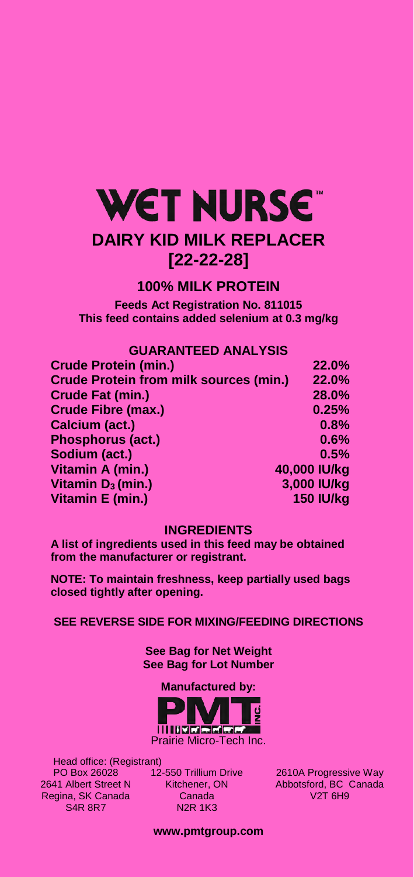# **WET NURSE DAIRY KID MILK REPLACER [22-22-28]**

## **100% MILK PROTEIN**

**Feeds Act Registration No. 811015 This feed contains added selenium at 0.3 mg/kg** 

## **GUARANTEED ANALYSIS**

| <b>Crude Protein (min.)</b>                   | 22.0%            |
|-----------------------------------------------|------------------|
| <b>Crude Protein from milk sources (min.)</b> | <b>22.0%</b>     |
| <b>Crude Fat (min.)</b>                       | 28.0%            |
| Crude Fibre (max.)                            | 0.25%            |
| Calcium (act.)                                | 0.8%             |
| Phosphorus (act.)                             | 0.6%             |
| Sodium (act.)                                 | 0.5%             |
| Vitamin A (min.)                              | 40,000 IU/kg     |
| Vitamin $D_3$ (min.)                          | 3,000 IU/kg      |
| Vitamin E (min.)                              | <b>150 IU/kg</b> |

### **INGREDIENTS**

**A list of ingredients used in this feed may be obtained from the manufacturer or registrant.** 

**NOTE: To maintain freshness, keep partially used bags closed tightly after opening.** 

**SEE REVERSE SIDE FOR MIXING/FEEDING DIRECTIONS** 

**See Bag for Net Weight See Bag for Lot Number** 

**Manufactured by:** 



 Head office: (Registrant) PO Box 26028 2641 Albert Street N Regina, SK Canada S4R 8R7

12-550 Trillium Drive Kitchener, ON Canada N2R 1K3

2610A Progressive Way Abbotsford, BC Canada V2T 6H9

**www.pmtgroup.com**